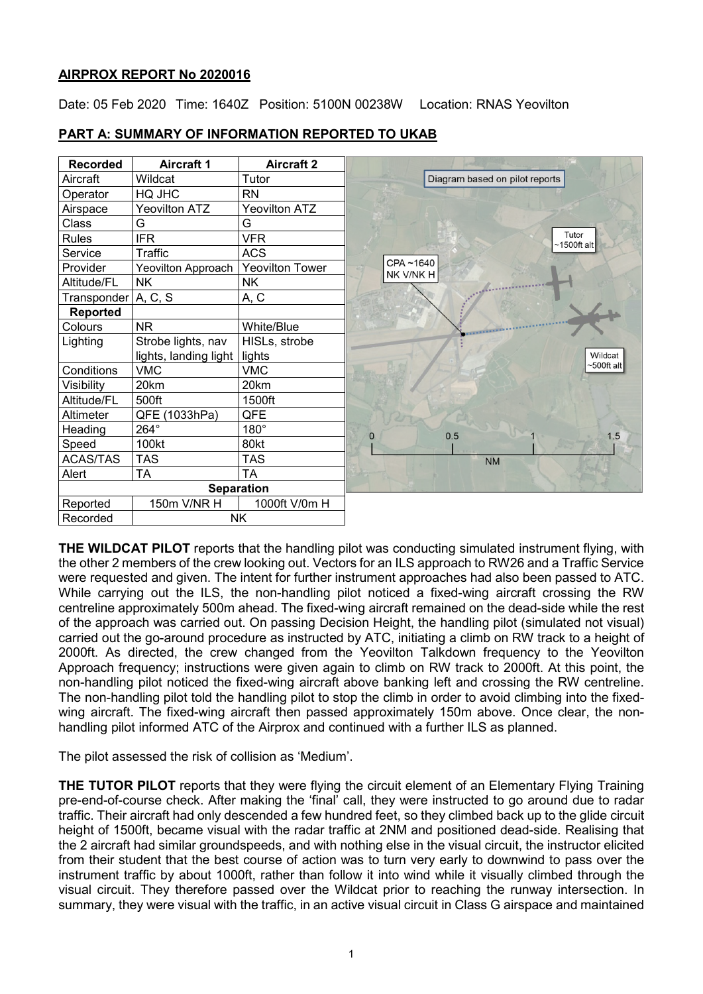### **AIRPROX REPORT No 2020016**

Date: 05 Feb 2020 Time: 1640Z Position: 5100N 00238W Location: RNAS Yeovilton



### **PART A: SUMMARY OF INFORMATION REPORTED TO UKAB**

**THE WILDCAT PILOT** reports that the handling pilot was conducting simulated instrument flying, with the other 2 members of the crew looking out. Vectors for an ILS approach to RW26 and a Traffic Service were requested and given. The intent for further instrument approaches had also been passed to ATC. While carrying out the ILS, the non-handling pilot noticed a fixed-wing aircraft crossing the RW centreline approximately 500m ahead. The fixed-wing aircraft remained on the dead-side while the rest of the approach was carried out. On passing Decision Height, the handling pilot (simulated not visual) carried out the go-around procedure as instructed by ATC, initiating a climb on RW track to a height of 2000ft. As directed, the crew changed from the Yeovilton Talkdown frequency to the Yeovilton Approach frequency; instructions were given again to climb on RW track to 2000ft. At this point, the non-handling pilot noticed the fixed-wing aircraft above banking left and crossing the RW centreline. The non-handling pilot told the handling pilot to stop the climb in order to avoid climbing into the fixedwing aircraft. The fixed-wing aircraft then passed approximately 150m above. Once clear, the nonhandling pilot informed ATC of the Airprox and continued with a further ILS as planned.

The pilot assessed the risk of collision as 'Medium'.

**THE TUTOR PILOT** reports that they were flying the circuit element of an Elementary Flying Training pre-end-of-course check. After making the 'final' call, they were instructed to go around due to radar traffic. Their aircraft had only descended a few hundred feet, so they climbed back up to the glide circuit height of 1500ft, became visual with the radar traffic at 2NM and positioned dead-side. Realising that the 2 aircraft had similar groundspeeds, and with nothing else in the visual circuit, the instructor elicited from their student that the best course of action was to turn very early to downwind to pass over the instrument traffic by about 1000ft, rather than follow it into wind while it visually climbed through the visual circuit. They therefore passed over the Wildcat prior to reaching the runway intersection. In summary, they were visual with the traffic, in an active visual circuit in Class G airspace and maintained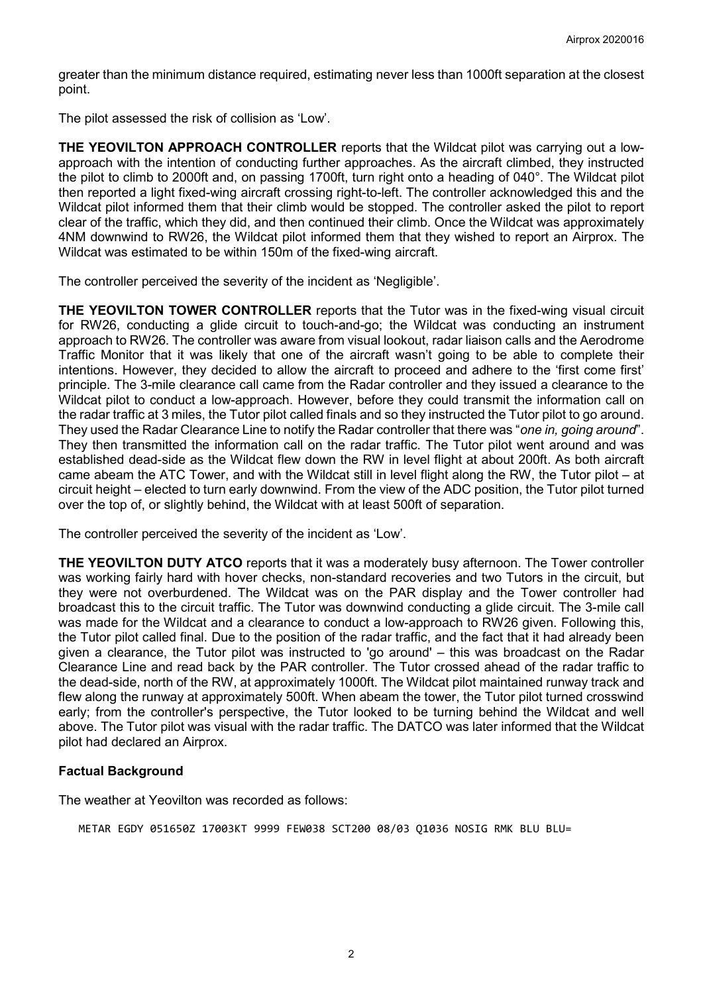greater than the minimum distance required, estimating never less than 1000ft separation at the closest point.

The pilot assessed the risk of collision as 'Low'.

**THE YEOVILTON APPROACH CONTROLLER** reports that the Wildcat pilot was carrying out a lowapproach with the intention of conducting further approaches. As the aircraft climbed, they instructed the pilot to climb to 2000ft and, on passing 1700ft, turn right onto a heading of 040°. The Wildcat pilot then reported a light fixed-wing aircraft crossing right-to-left. The controller acknowledged this and the Wildcat pilot informed them that their climb would be stopped. The controller asked the pilot to report clear of the traffic, which they did, and then continued their climb. Once the Wildcat was approximately 4NM downwind to RW26, the Wildcat pilot informed them that they wished to report an Airprox. The Wildcat was estimated to be within 150m of the fixed-wing aircraft.

The controller perceived the severity of the incident as 'Negligible'.

**THE YEOVILTON TOWER CONTROLLER** reports that the Tutor was in the fixed-wing visual circuit for RW26, conducting a glide circuit to touch-and-go; the Wildcat was conducting an instrument approach to RW26. The controller was aware from visual lookout, radar liaison calls and the Aerodrome Traffic Monitor that it was likely that one of the aircraft wasn't going to be able to complete their intentions. However, they decided to allow the aircraft to proceed and adhere to the 'first come first' principle. The 3-mile clearance call came from the Radar controller and they issued a clearance to the Wildcat pilot to conduct a low-approach. However, before they could transmit the information call on the radar traffic at 3 miles, the Tutor pilot called finals and so they instructed the Tutor pilot to go around. They used the Radar Clearance Line to notify the Radar controller that there was "*one in, going around*". They then transmitted the information call on the radar traffic. The Tutor pilot went around and was established dead-side as the Wildcat flew down the RW in level flight at about 200ft. As both aircraft came abeam the ATC Tower, and with the Wildcat still in level flight along the RW, the Tutor pilot – at circuit height – elected to turn early downwind. From the view of the ADC position, the Tutor pilot turned over the top of, or slightly behind, the Wildcat with at least 500ft of separation.

The controller perceived the severity of the incident as 'Low'.

**THE YEOVILTON DUTY ATCO** reports that it was a moderately busy afternoon. The Tower controller was working fairly hard with hover checks, non-standard recoveries and two Tutors in the circuit, but they were not overburdened. The Wildcat was on the PAR display and the Tower controller had broadcast this to the circuit traffic. The Tutor was downwind conducting a glide circuit. The 3-mile call was made for the Wildcat and a clearance to conduct a low-approach to RW26 given. Following this, the Tutor pilot called final. Due to the position of the radar traffic, and the fact that it had already been given a clearance, the Tutor pilot was instructed to 'go around' – this was broadcast on the Radar Clearance Line and read back by the PAR controller. The Tutor crossed ahead of the radar traffic to the dead-side, north of the RW, at approximately 1000ft. The Wildcat pilot maintained runway track and flew along the runway at approximately 500ft. When abeam the tower, the Tutor pilot turned crosswind early; from the controller's perspective, the Tutor looked to be turning behind the Wildcat and well above. The Tutor pilot was visual with the radar traffic. The DATCO was later informed that the Wildcat pilot had declared an Airprox.

### **Factual Background**

The weather at Yeovilton was recorded as follows:

METAR EGDY 051650Z 17003KT 9999 FEW038 SCT200 08/03 Q1036 NOSIG RMK BLU BLU=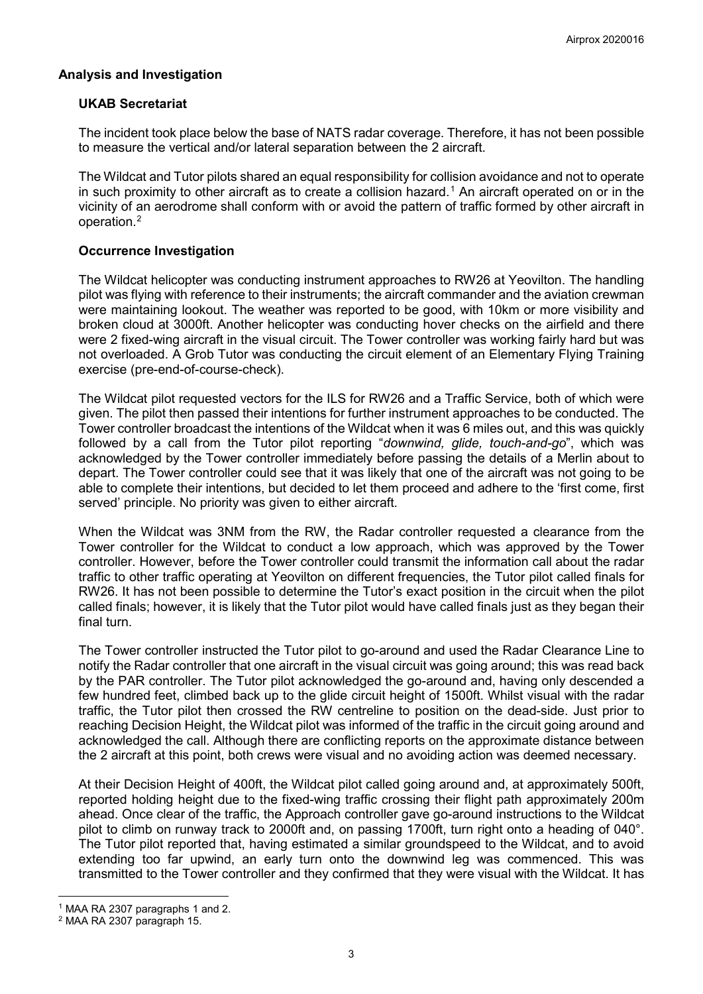## **Analysis and Investigation**

### **UKAB Secretariat**

The incident took place below the base of NATS radar coverage. Therefore, it has not been possible to measure the vertical and/or lateral separation between the 2 aircraft.

The Wildcat and Tutor pilots shared an equal responsibility for collision avoidance and not to operate in such proximity to other aircraft as to create a collision hazard. [1](#page-2-0) An aircraft operated on or in the vicinity of an aerodrome shall conform with or avoid the pattern of traffic formed by other aircraft in operation. [2](#page-2-1)

### **Occurrence Investigation**

The Wildcat helicopter was conducting instrument approaches to RW26 at Yeovilton. The handling pilot was flying with reference to their instruments; the aircraft commander and the aviation crewman were maintaining lookout. The weather was reported to be good, with 10km or more visibility and broken cloud at 3000ft. Another helicopter was conducting hover checks on the airfield and there were 2 fixed-wing aircraft in the visual circuit. The Tower controller was working fairly hard but was not overloaded. A Grob Tutor was conducting the circuit element of an Elementary Flying Training exercise (pre-end-of-course-check).

The Wildcat pilot requested vectors for the ILS for RW26 and a Traffic Service, both of which were given. The pilot then passed their intentions for further instrument approaches to be conducted. The Tower controller broadcast the intentions of the Wildcat when it was 6 miles out, and this was quickly followed by a call from the Tutor pilot reporting "*downwind, glide, touch-and-go*", which was acknowledged by the Tower controller immediately before passing the details of a Merlin about to depart. The Tower controller could see that it was likely that one of the aircraft was not going to be able to complete their intentions, but decided to let them proceed and adhere to the 'first come, first served' principle. No priority was given to either aircraft.

When the Wildcat was 3NM from the RW, the Radar controller requested a clearance from the Tower controller for the Wildcat to conduct a low approach, which was approved by the Tower controller. However, before the Tower controller could transmit the information call about the radar traffic to other traffic operating at Yeovilton on different frequencies, the Tutor pilot called finals for RW26. It has not been possible to determine the Tutor's exact position in the circuit when the pilot called finals; however, it is likely that the Tutor pilot would have called finals just as they began their final turn.

The Tower controller instructed the Tutor pilot to go-around and used the Radar Clearance Line to notify the Radar controller that one aircraft in the visual circuit was going around; this was read back by the PAR controller. The Tutor pilot acknowledged the go-around and, having only descended a few hundred feet, climbed back up to the glide circuit height of 1500ft. Whilst visual with the radar traffic, the Tutor pilot then crossed the RW centreline to position on the dead-side. Just prior to reaching Decision Height, the Wildcat pilot was informed of the traffic in the circuit going around and acknowledged the call. Although there are conflicting reports on the approximate distance between the 2 aircraft at this point, both crews were visual and no avoiding action was deemed necessary.

At their Decision Height of 400ft, the Wildcat pilot called going around and, at approximately 500ft, reported holding height due to the fixed-wing traffic crossing their flight path approximately 200m ahead. Once clear of the traffic, the Approach controller gave go-around instructions to the Wildcat pilot to climb on runway track to 2000ft and, on passing 1700ft, turn right onto a heading of 040°. The Tutor pilot reported that, having estimated a similar groundspeed to the Wildcat, and to avoid extending too far upwind, an early turn onto the downwind leg was commenced. This was transmitted to the Tower controller and they confirmed that they were visual with the Wildcat. It has

 $\overline{\phantom{a}}$ <sup>1</sup> MAA RA 2307 paragraphs 1 and 2.

<span id="page-2-1"></span><span id="page-2-0"></span><sup>2</sup> MAA RA 2307 paragraph 15.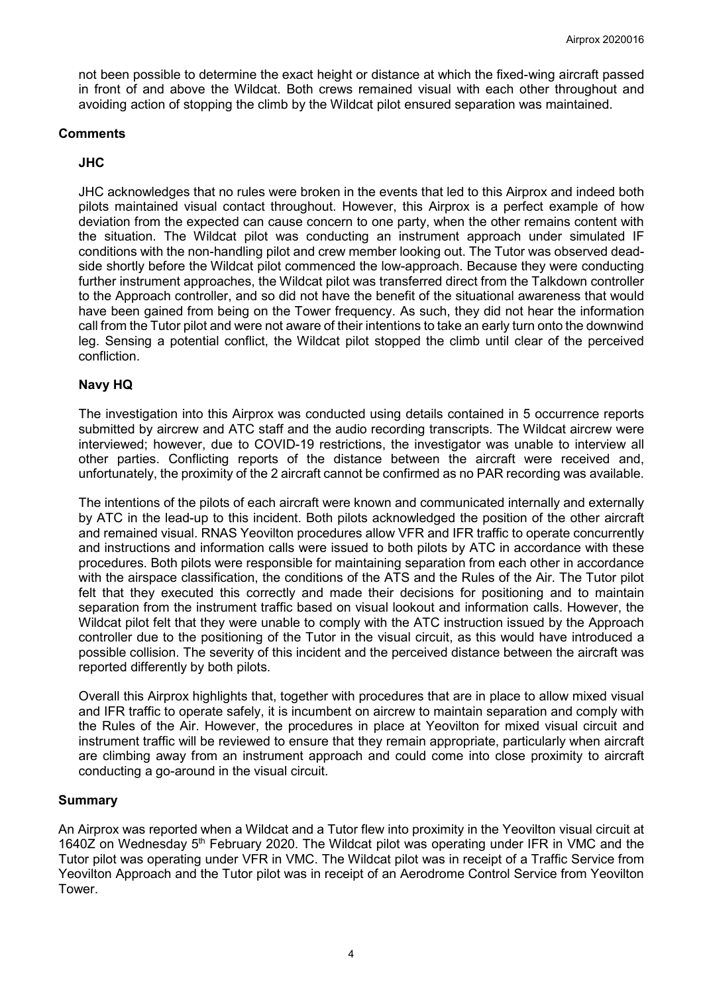not been possible to determine the exact height or distance at which the fixed-wing aircraft passed in front of and above the Wildcat. Both crews remained visual with each other throughout and avoiding action of stopping the climb by the Wildcat pilot ensured separation was maintained.

#### **Comments**

## **JHC**

JHC acknowledges that no rules were broken in the events that led to this Airprox and indeed both pilots maintained visual contact throughout. However, this Airprox is a perfect example of how deviation from the expected can cause concern to one party, when the other remains content with the situation. The Wildcat pilot was conducting an instrument approach under simulated IF conditions with the non-handling pilot and crew member looking out. The Tutor was observed deadside shortly before the Wildcat pilot commenced the low-approach. Because they were conducting further instrument approaches, the Wildcat pilot was transferred direct from the Talkdown controller to the Approach controller, and so did not have the benefit of the situational awareness that would have been gained from being on the Tower frequency. As such, they did not hear the information call from the Tutor pilot and were not aware of their intentions to take an early turn onto the downwind leg. Sensing a potential conflict, the Wildcat pilot stopped the climb until clear of the perceived confliction.

### **Navy HQ**

The investigation into this Airprox was conducted using details contained in 5 occurrence reports submitted by aircrew and ATC staff and the audio recording transcripts. The Wildcat aircrew were interviewed; however, due to COVID-19 restrictions, the investigator was unable to interview all other parties. Conflicting reports of the distance between the aircraft were received and, unfortunately, the proximity of the 2 aircraft cannot be confirmed as no PAR recording was available.

The intentions of the pilots of each aircraft were known and communicated internally and externally by ATC in the lead-up to this incident. Both pilots acknowledged the position of the other aircraft and remained visual. RNAS Yeovilton procedures allow VFR and IFR traffic to operate concurrently and instructions and information calls were issued to both pilots by ATC in accordance with these procedures. Both pilots were responsible for maintaining separation from each other in accordance with the airspace classification, the conditions of the ATS and the Rules of the Air. The Tutor pilot felt that they executed this correctly and made their decisions for positioning and to maintain separation from the instrument traffic based on visual lookout and information calls. However, the Wildcat pilot felt that they were unable to comply with the ATC instruction issued by the Approach controller due to the positioning of the Tutor in the visual circuit, as this would have introduced a possible collision. The severity of this incident and the perceived distance between the aircraft was reported differently by both pilots.

Overall this Airprox highlights that, together with procedures that are in place to allow mixed visual and IFR traffic to operate safely, it is incumbent on aircrew to maintain separation and comply with the Rules of the Air. However, the procedures in place at Yeovilton for mixed visual circuit and instrument traffic will be reviewed to ensure that they remain appropriate, particularly when aircraft are climbing away from an instrument approach and could come into close proximity to aircraft conducting a go-around in the visual circuit.

### **Summary**

An Airprox was reported when a Wildcat and a Tutor flew into proximity in the Yeovilton visual circuit at 1640Z on Wednesday  $5<sup>th</sup>$  February 2020. The Wildcat pilot was operating under IFR in VMC and the Tutor pilot was operating under VFR in VMC. The Wildcat pilot was in receipt of a Traffic Service from Yeovilton Approach and the Tutor pilot was in receipt of an Aerodrome Control Service from Yeovilton Tower.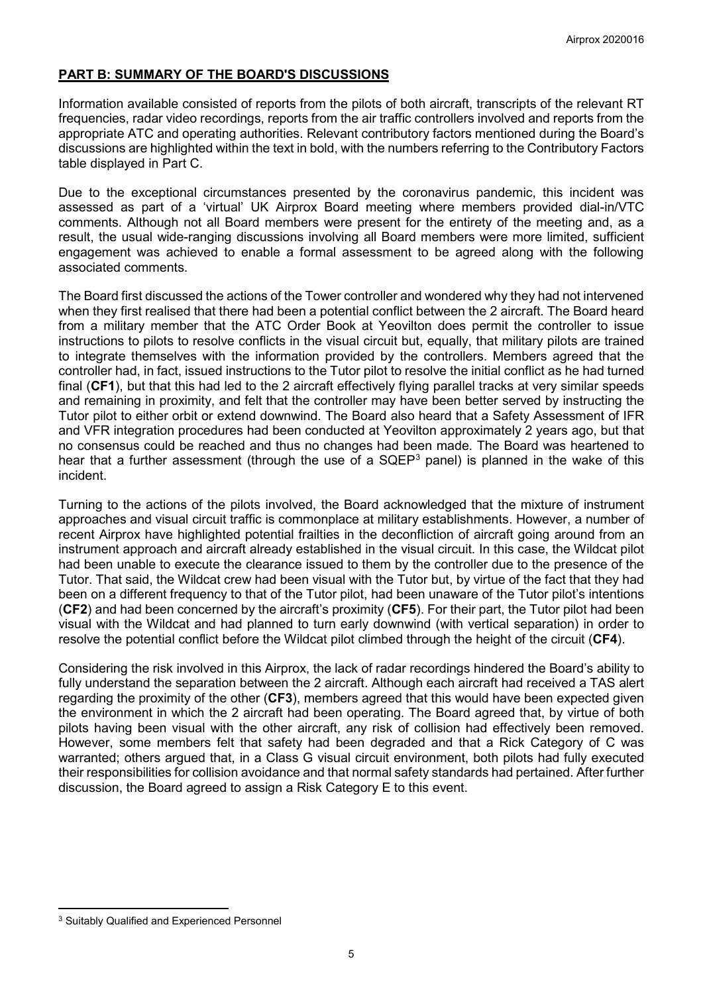## **PART B: SUMMARY OF THE BOARD'S DISCUSSIONS**

Information available consisted of reports from the pilots of both aircraft, transcripts of the relevant RT frequencies, radar video recordings, reports from the air traffic controllers involved and reports from the appropriate ATC and operating authorities. Relevant contributory factors mentioned during the Board's discussions are highlighted within the text in bold, with the numbers referring to the Contributory Factors table displayed in Part C.

Due to the exceptional circumstances presented by the coronavirus pandemic, this incident was assessed as part of a 'virtual' UK Airprox Board meeting where members provided dial-in/VTC comments. Although not all Board members were present for the entirety of the meeting and, as a result, the usual wide-ranging discussions involving all Board members were more limited, sufficient engagement was achieved to enable a formal assessment to be agreed along with the following associated comments.

The Board first discussed the actions of the Tower controller and wondered why they had not intervened when they first realised that there had been a potential conflict between the 2 aircraft. The Board heard from a military member that the ATC Order Book at Yeovilton does permit the controller to issue instructions to pilots to resolve conflicts in the visual circuit but, equally, that military pilots are trained to integrate themselves with the information provided by the controllers. Members agreed that the controller had, in fact, issued instructions to the Tutor pilot to resolve the initial conflict as he had turned final (**CF1**), but that this had led to the 2 aircraft effectively flying parallel tracks at very similar speeds and remaining in proximity, and felt that the controller may have been better served by instructing the Tutor pilot to either orbit or extend downwind. The Board also heard that a Safety Assessment of IFR and VFR integration procedures had been conducted at Yeovilton approximately 2 years ago, but that no consensus could be reached and thus no changes had been made. The Board was heartened to hear that a further assessment (through the use of a SQEP<sup>[3](#page-4-0)</sup> panel) is planned in the wake of this incident.

Turning to the actions of the pilots involved, the Board acknowledged that the mixture of instrument approaches and visual circuit traffic is commonplace at military establishments. However, a number of recent Airprox have highlighted potential frailties in the deconfliction of aircraft going around from an instrument approach and aircraft already established in the visual circuit. In this case, the Wildcat pilot had been unable to execute the clearance issued to them by the controller due to the presence of the Tutor. That said, the Wildcat crew had been visual with the Tutor but, by virtue of the fact that they had been on a different frequency to that of the Tutor pilot, had been unaware of the Tutor pilot's intentions (**CF2**) and had been concerned by the aircraft's proximity (**CF5**). For their part, the Tutor pilot had been visual with the Wildcat and had planned to turn early downwind (with vertical separation) in order to resolve the potential conflict before the Wildcat pilot climbed through the height of the circuit (**CF4**).

Considering the risk involved in this Airprox, the lack of radar recordings hindered the Board's ability to fully understand the separation between the 2 aircraft. Although each aircraft had received a TAS alert regarding the proximity of the other (**CF3**), members agreed that this would have been expected given the environment in which the 2 aircraft had been operating. The Board agreed that, by virtue of both pilots having been visual with the other aircraft, any risk of collision had effectively been removed. However, some members felt that safety had been degraded and that a Rick Category of C was warranted; others argued that, in a Class G visual circuit environment, both pilots had fully executed their responsibilities for collision avoidance and that normal safety standards had pertained. After further discussion, the Board agreed to assign a Risk Category E to this event.

l

<span id="page-4-0"></span><sup>3</sup> Suitably Qualified and Experienced Personnel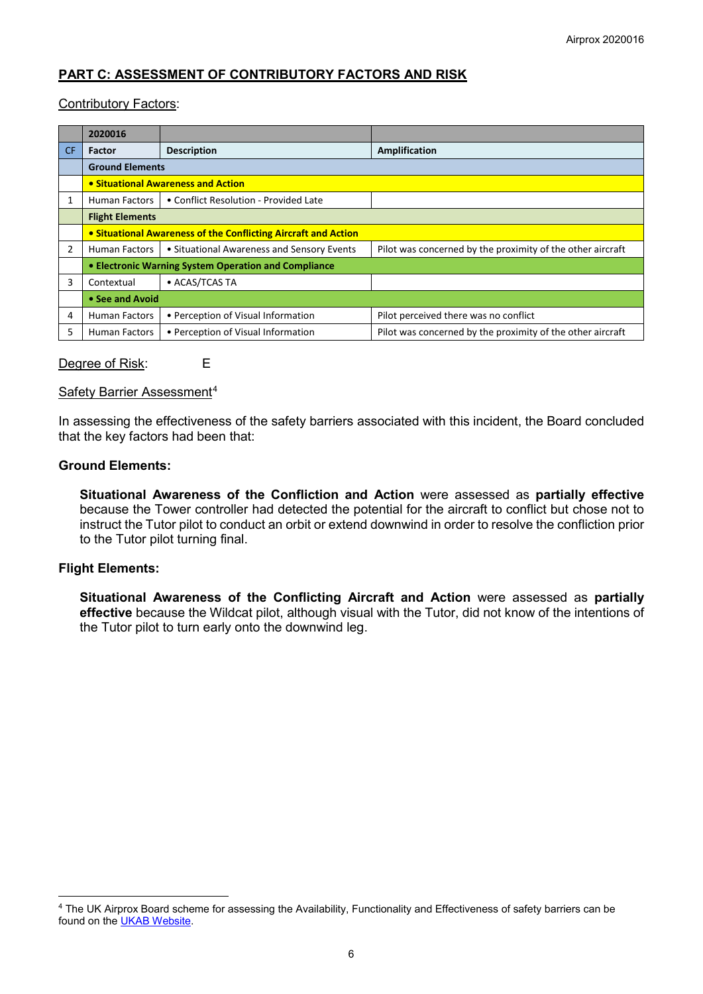# **PART C: ASSESSMENT OF CONTRIBUTORY FACTORS AND RISK**

#### Contributory Factors:

|                | 2020016                                                        |                                            |                                                            |
|----------------|----------------------------------------------------------------|--------------------------------------------|------------------------------------------------------------|
| CF.            | <b>Factor</b>                                                  | <b>Description</b>                         | Amplification                                              |
|                | <b>Ground Elements</b>                                         |                                            |                                                            |
|                | • Situational Awareness and Action                             |                                            |                                                            |
|                | <b>Human Factors</b>                                           | • Conflict Resolution - Provided Late      |                                                            |
|                | <b>Flight Elements</b>                                         |                                            |                                                            |
|                | • Situational Awareness of the Conflicting Aircraft and Action |                                            |                                                            |
| $\overline{2}$ | <b>Human Factors</b>                                           | • Situational Awareness and Sensory Events | Pilot was concerned by the proximity of the other aircraft |
|                | • Electronic Warning System Operation and Compliance           |                                            |                                                            |
| 3              | Contextual                                                     | • ACAS/TCAS TA                             |                                                            |
|                | • See and Avoid                                                |                                            |                                                            |
| 4              | <b>Human Factors</b>                                           | • Perception of Visual Information         | Pilot perceived there was no conflict                      |
| 5              | <b>Human Factors</b>                                           | • Perception of Visual Information         | Pilot was concerned by the proximity of the other aircraft |

#### Degree of Risk: E

Safety Barrier Assessment<sup>[4](#page-5-0)</sup>

In assessing the effectiveness of the safety barriers associated with this incident, the Board concluded that the key factors had been that:

## **Ground Elements:**

**Situational Awareness of the Confliction and Action** were assessed as **partially effective** because the Tower controller had detected the potential for the aircraft to conflict but chose not to instruct the Tutor pilot to conduct an orbit or extend downwind in order to resolve the confliction prior to the Tutor pilot turning final.

#### **Flight Elements:**

 $\overline{\phantom{a}}$ 

**Situational Awareness of the Conflicting Aircraft and Action** were assessed as **partially effective** because the Wildcat pilot, although visual with the Tutor, did not know of the intentions of the Tutor pilot to turn early onto the downwind leg.

<span id="page-5-0"></span><sup>4</sup> The UK Airprox Board scheme for assessing the Availability, Functionality and Effectiveness of safety barriers can be found on the [UKAB Website.](http://www.airproxboard.org.uk/Learn-more/Airprox-Barrier-Assessment/)